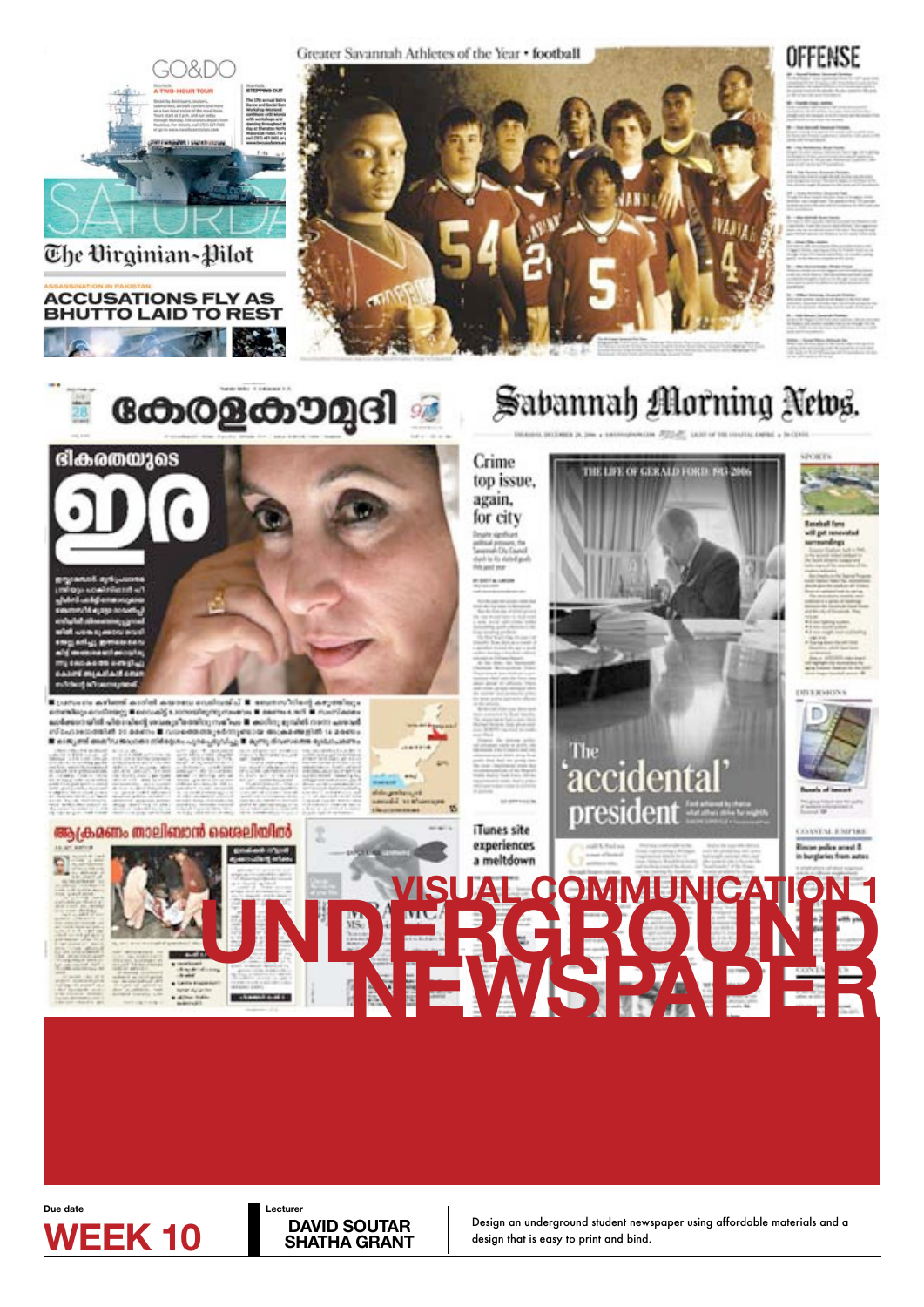





# ആക്രമണം താലിഞാൻ ശൈലിയിൽ











Crime

top issue. again.

iTunes site experiences

a meltdown

# Savannah Morning News.

# THE LIFE OF GERMAN FORD 193-2 The 'accidental president



**Due date Lecturer** 

### **SHATHA GRANT**

**WEEK 10** DAVID SOUTAR Design an underground student newspaper using affordable materials and a design that is easy to print and bind. design that is easy to print and bind.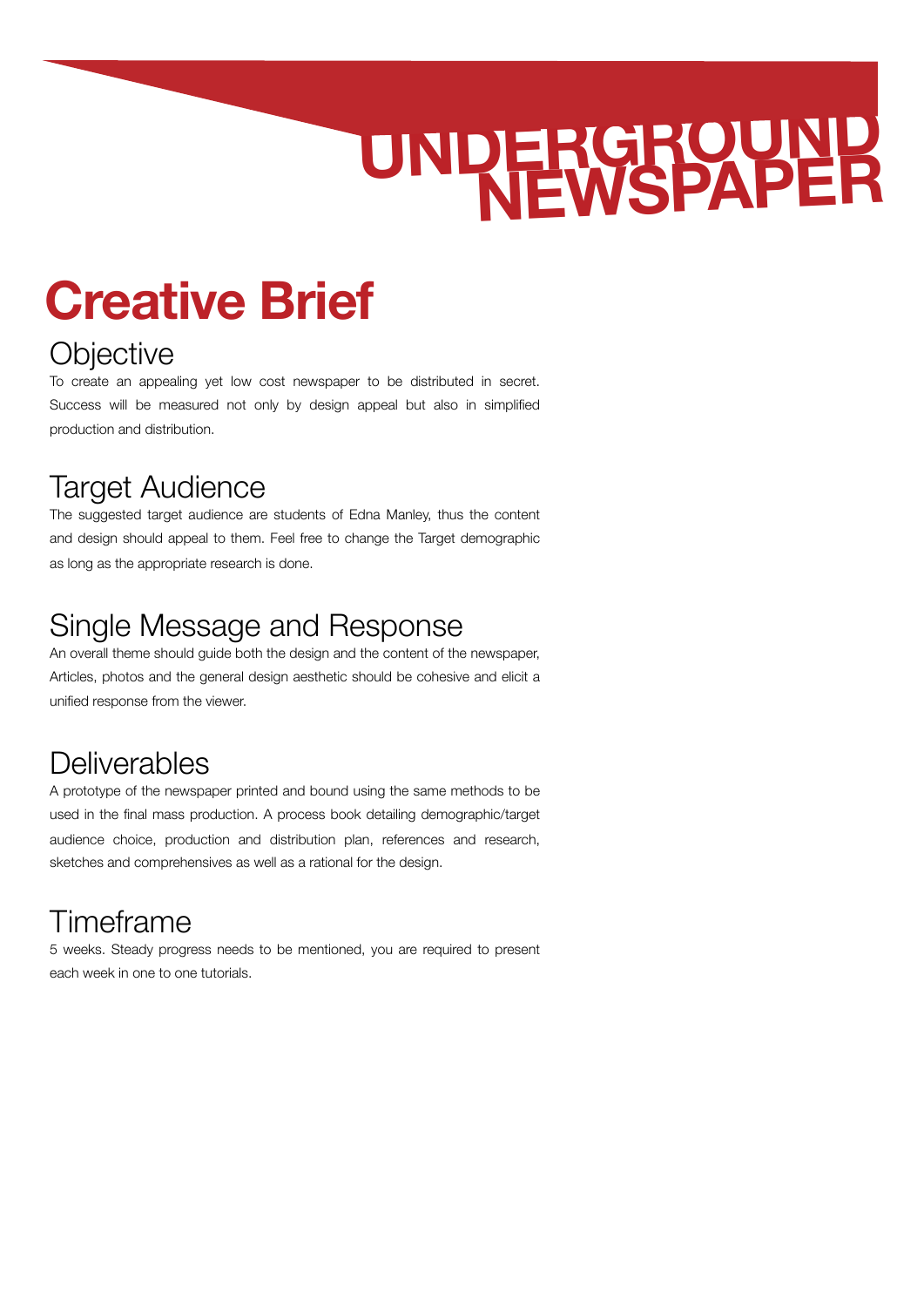# **Creative Brief**

## **Objective**

To create an appealing yet low cost newspaper to be distributed in secret. Success will be measured not only by design appeal but also in simplified production and distribution.

## Target Audience

The suggested target audience are students of Edna Manley, thus the content and design should appeal to them. Feel free to change the Target demographic as long as the appropriate research is done.

## Single Message and Response

An overall theme should guide both the design and the content of the newspaper, Articles, photos and the general design aesthetic should be cohesive and elicit a unified response from the viewer.

## **Deliverables**

A prototype of the newspaper printed and bound using the same methods to be used in the final mass production. A process book detailing demographic/target audience choice, production and distribution plan, references and research, sketches and comprehensives as well as a rational for the design.

# Timeframe

5 weeks. Steady progress needs to be mentioned, you are required to present each week in one to one tutorials.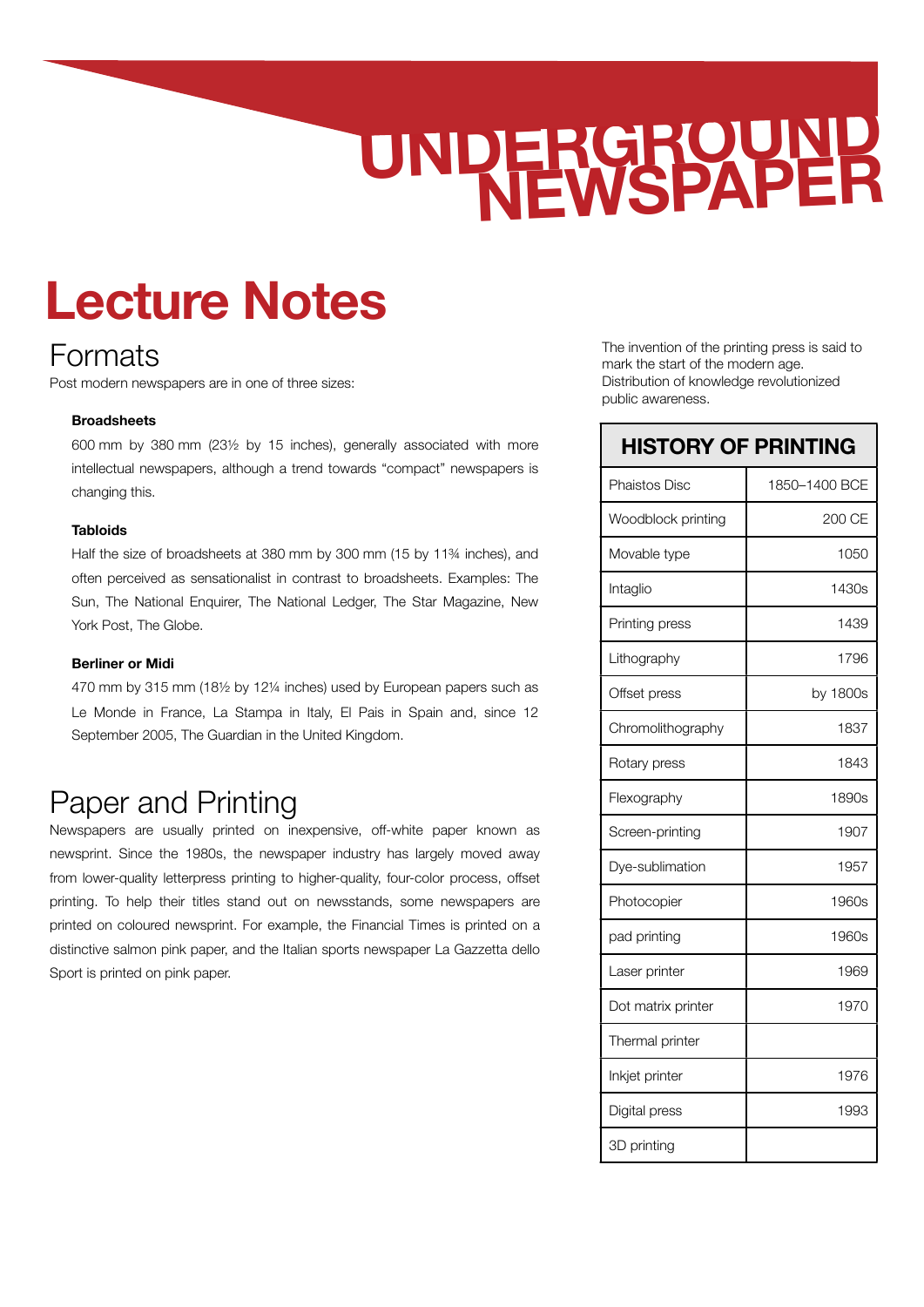# **Lecture Notes**

### Formats

Post modern newspapers are in one of three sizes:

#### **Broadsheets**

600 mm by 380 mm (23½ by 15 inches), generally associated with more intellectual newspapers, although a trend towards "compact" newspapers is changing this.

#### **Tabloids**

Half the size of broadsheets at 380 mm by 300 mm (15 by 11¾ inches), and often perceived as sensationalist in contrast to broadsheets. Examples: The Sun, The National Enquirer, The National Ledger, The Star Magazine, New York Post, The Globe.

#### **Berliner or Midi**

470 mm by 315 mm (18½ by 12¼ inches) used by [European](http://en.wikipedia.org/wiki/Europe) papers such as [Le Monde](http://en.wikipedia.org/wiki/Le_Monde) in France, La Stampa in Italy, El Pais in Spain and, since 12 September 2005, The Guardian in the United Kingdom.

### Paper and Printing

Newspapers are usually printed on inexpensive, off-white paper known as newsprint. Since the 1980s, the newspaper industry has largely moved away from lower-quality letterpress printing to higher-quality, four-color process, offset printing. To help their titles stand out on newsstands, some newspapers are printed on coloured newsprint. For example, the Financial Times is printed on a distinctive salmon pink paper, and the Italian sports newspaper La Gazzetta dello Sport is printed on pink paper.

The invention of the printing press is said to mark the start of the modern age. Distribution of knowledge revolutionized public awareness.

#### **HISTORY OF PRINTING**

| Phaistos Disc      | 1850-1400 BCE |
|--------------------|---------------|
| Woodblock printing | 200 CE        |
| Movable type       | 1050          |
| Intaglio           | 1430s         |
| Printing press     | 1439          |
| Lithography        | 1796          |
| Offset press       | by 1800s      |
| Chromolithography  | 1837          |
| Rotary press       | 1843          |
| Flexography        | 1890s         |
| Screen-printing    | 1907          |
| Dye-sublimation    | 1957          |
| Photocopier        | 1960s         |
| pad printing       | 1960s         |
| Laser printer      | 1969          |
| Dot matrix printer | 1970          |
| Thermal printer    |               |
| Inkjet printer     | 1976          |
| Digital press      | 1993          |
| 3D printing        |               |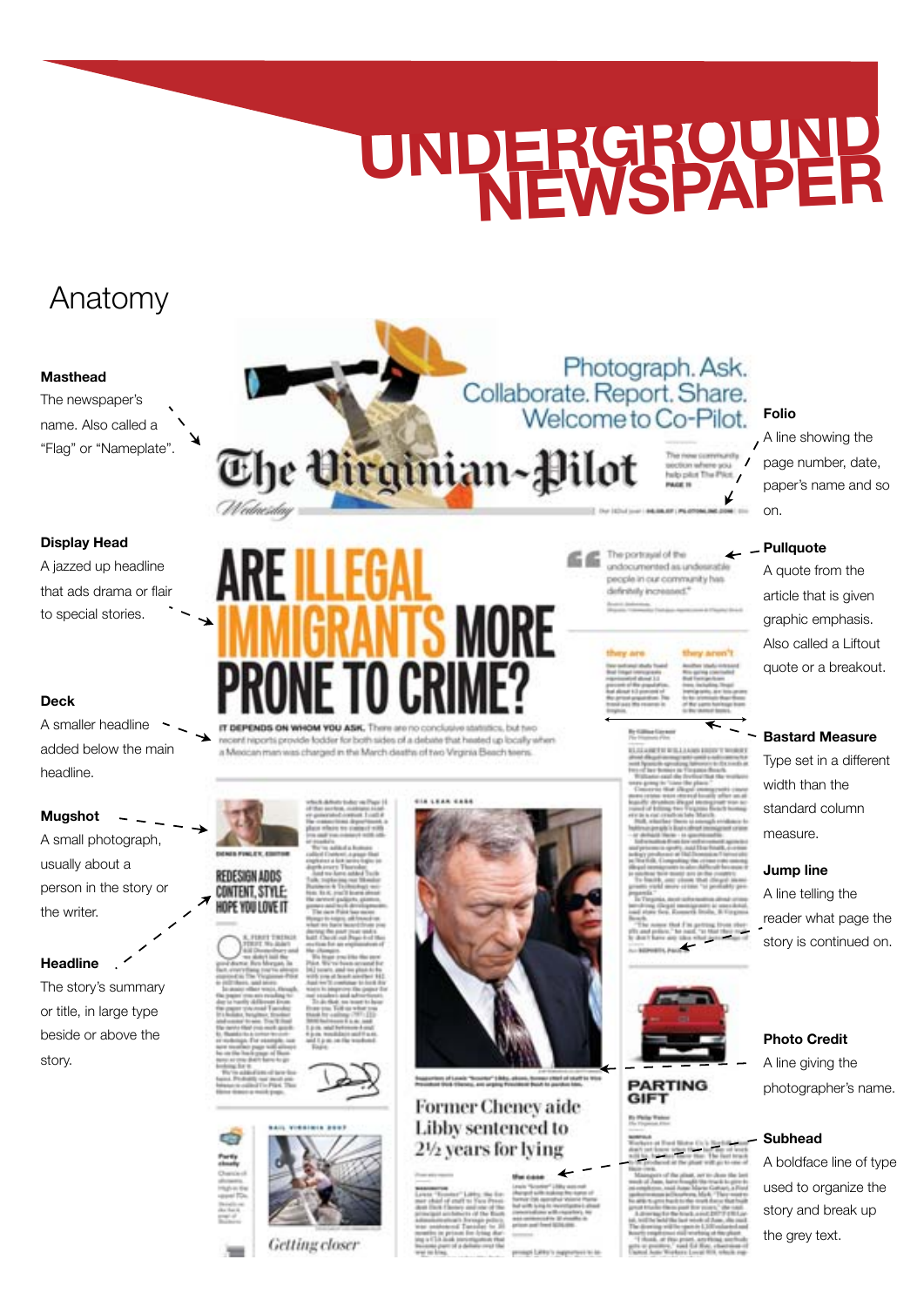## Anatomy

#### **Masthead**

The newspaper's name. Also called a "Flag" or "Nameplate".

#### **Display Head**

A jazzed up headline that ads drama or flair to special stories.

#### **Deck**

A smaller headline added below the main headline.

#### **Mugshot**

A small photograph, usually about a person in the story or the writer.

#### **Headline**

The story's summary or title, in large type beside or above the story.

The Virginian-Pilot

t niports provide fodder for b sh sides of a debate that heated up locally when a Mexican man was charged in the March deaths of two Virginia Beach teens



KOPE YOU LOVE IT



**Getting** closer



#### **Former Cheney aide** Libby sentenced to 2½ years for lying

The portrayal of the undocumented as unde people in our community hi definitially increased."

Photograph. Ask.

Collaborate. Report. Share.<br>Welcome to Co-Pilot.



### **PARTING**<br>GIFT

#### **Folio**

A line showing the page number, date, paper's name and so on.

#### **Pullquote**

A quote from the article that is given graphic emphasis. Also called a Liftout quote or a breakout.

#### **Bastard Measure**

Type set in a different width than the standard column measure.

#### **Jump line**

A line telling the reader what page the story is continued on.

#### **Photo Credit**

A line giving the photographer's name.

#### **Subhead**

A boldface line of type used to organize the story and break up the grey text.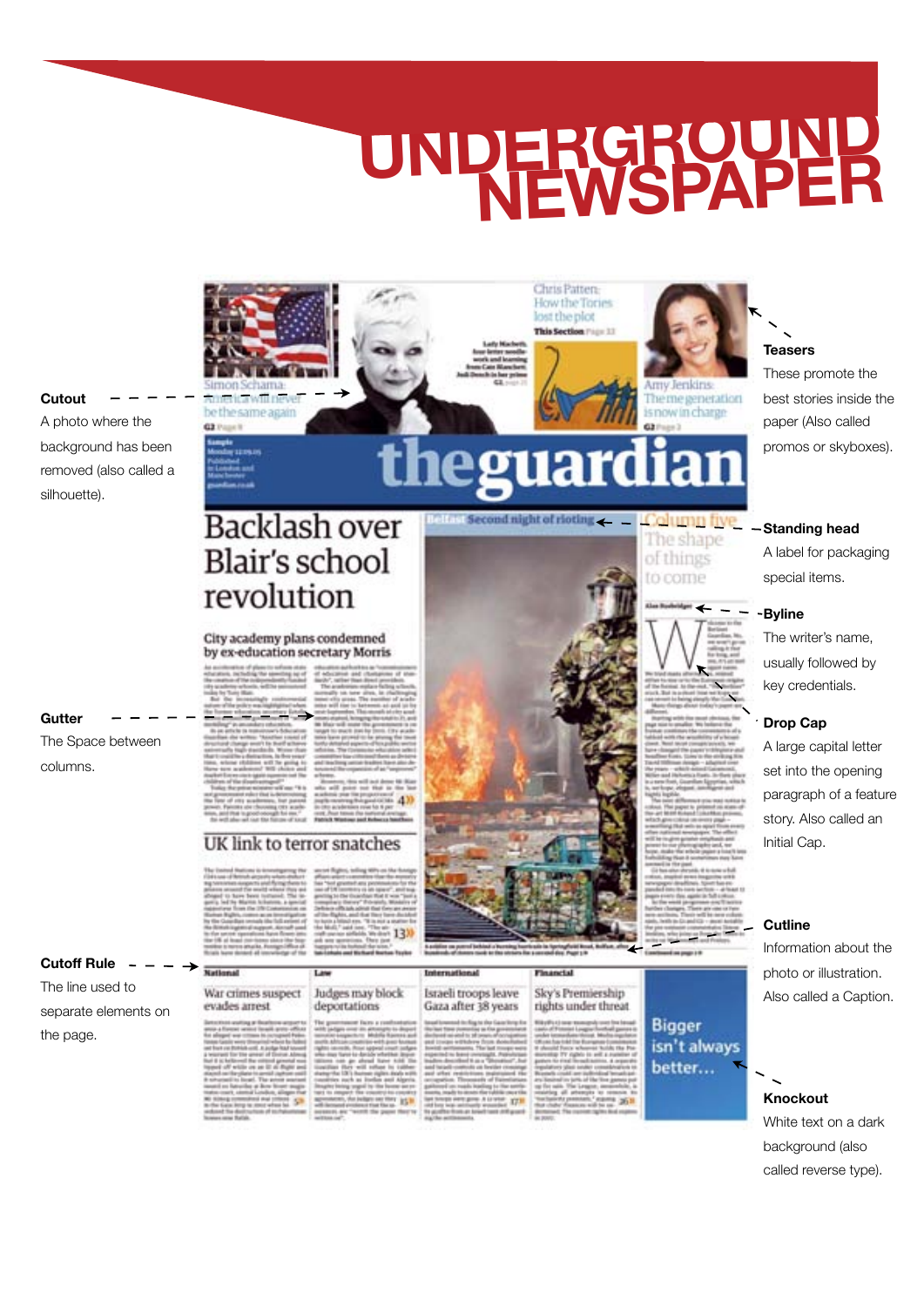Chris Patten-How the Tories lost the plot This Section (1)

egua

**Second night of rioting** 

#### **Cutout** A photo where the background has been removed (also called a silhouette).

**Gutter**

columns.

**Cutoff Rule** The line used to

the page.

separate elements on

The Space between

rêvama merica will never

**Backlash over** 

**Blair's school** 

City academy plans condemned by ex-education secretary Morris

revolution

be the same again

 $a<sub>2</sub>$ 

#### UK link to terror snatches

#### War crimes suspect evades arrest

13X

 $41$ 

#### Judges may block deportations

Israeli troops leave Sky's Premiership Gaza after 38 years

rights under threat

olumn hy The shape of things to come

**Arriv Tenkins** 

asi

The me generation is now in charge

**Bigger** 



**Teasers** These promote the

best stories inside the paper (Also called promos or skyboxes).

**Standing head**

A label for packaging special items.

#### **Byline**

The writer's name, usually followed by key credentials.

#### **Drop Cap**

A large capital letter set into the opening paragraph of a feature story. Also called an Initial Cap.

#### **Cutline**

Information about the photo or illustration. Also called a Caption.

#### **Knockout**

White text on a dark background (also called reverse type).